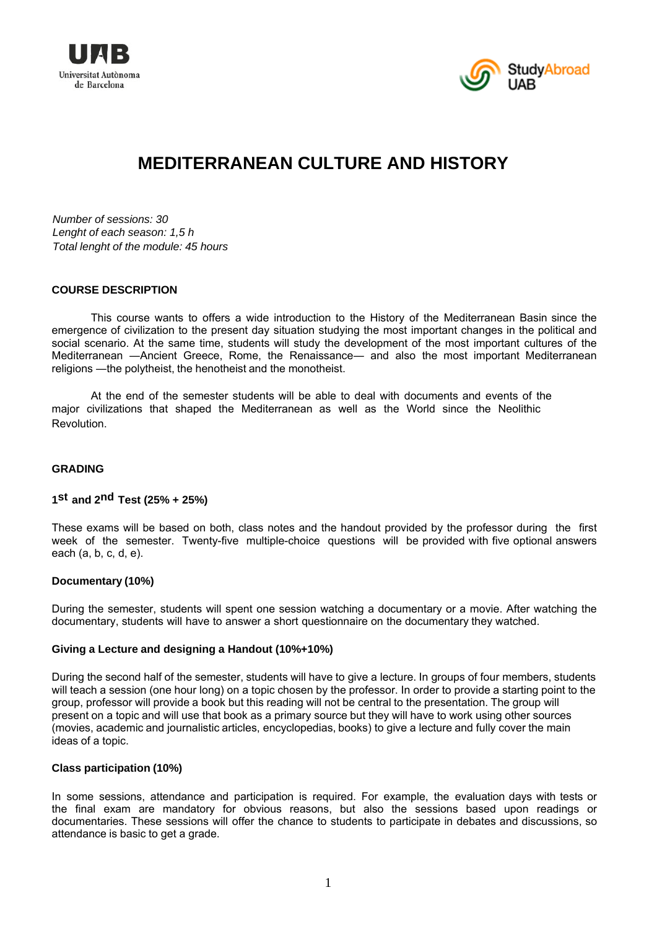



# **MEDITERRANEAN CULTURE AND HISTORY**

*Number of sessions: 30 Lenght of each season: 1,5 h Total lenght of the module: 45 hours* 

#### **COURSE DESCRIPTION**

This course wants to offers a wide introduction to the History of the Mediterranean Basin since the emergence of civilization to the present day situation studying the most important changes in the political and social scenario. At the same time, students will study the development of the most important cultures of the Mediterranean ―Ancient Greece, Rome, the Renaissance― and also the most important Mediterranean religions ―the polytheist, the henotheist and the monotheist.

At the end of the semester students will be able to deal with documents and events of the major civilizations that shaped the Mediterranean as well as the World since the Neolithic Revolution.

#### **GRADING**

## **1st and 2nd Test (25% + 25%)**

These exams will be based on both, class notes and the handout provided by the professor during the first week of the semester. Twenty-five multiple-choice questions will be provided with five optional answers each (a, b, c, d, e).

#### **Documentary (10%)**

During the semester, students will spent one session watching a documentary or a movie. After watching the documentary, students will have to answer a short questionnaire on the documentary they watched.

#### **Giving a Lecture and designing a Handout (10%+10%)**

During the second half of the semester, students will have to give a lecture. In groups of four members, students will teach a session (one hour long) on a topic chosen by the professor. In order to provide a starting point to the group, professor will provide a book but this reading will not be central to the presentation. The group will present on a topic and will use that book as a primary source but they will have to work using other sources (movies, academic and journalistic articles, encyclopedias, books) to give a lecture and fully cover the main ideas of a topic.

#### **Class participation (10%)**

In some sessions, attendance and participation is required. For example, the evaluation days with tests or the final exam are mandatory for obvious reasons, but also the sessions based upon readings or documentaries. These sessions will offer the chance to students to participate in debates and discussions, so attendance is basic to get a grade.